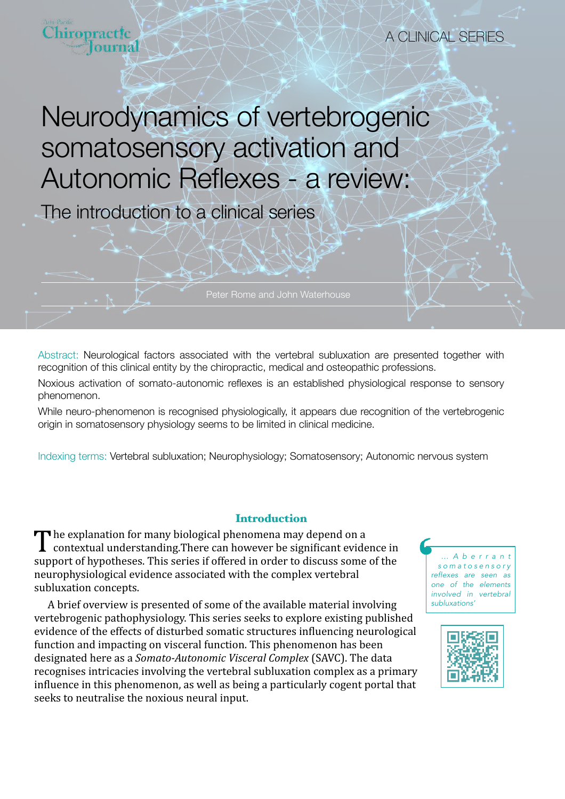

The introduction to a clinical series

Abstract: Neurological factors associated with the vertebral subluxation are presented together with recognition of this clinical entity by the chiropractic, medical and osteopathic professions.

Noxious activation of somato-autonomic reflexes is an established physiological response to sensory phenomenon.

While neuro-phenomenon is recognised physiologically, it appears due recognition of the vertebrogenic origin in somatosensory physiology seems to be limited in clinical medicine.

Indexing terms: Vertebral subluxation; Neurophysiology; Somatosensory; Autonomic nervous system

### **Introduction**

The explanation for many biological phenomena may depend on a<br>contextual understanding. There can however be significant evidence in support of hypotheses. This series if offered in order to discuss some of the neurophysiological evidence associated with the complex vertebral subluxation concepts.

A brief overview is presented of some of the available material involving vertebrogenic pathophysiology. This series seeks to explore existing published evidence of the effects of disturbed somatic structures influencing neurological function and impacting on visceral function. This phenomenon has been designated here as a *Somato-Autonomic Visceral Complex* (SAVC). The data recognises intricacies involving the vertebral subluxation complex as a primary influence in this phenomenon, as well as being a particularly cogent portal that seeks to neutralise the noxious neural input.



A CLINICAL SERIES

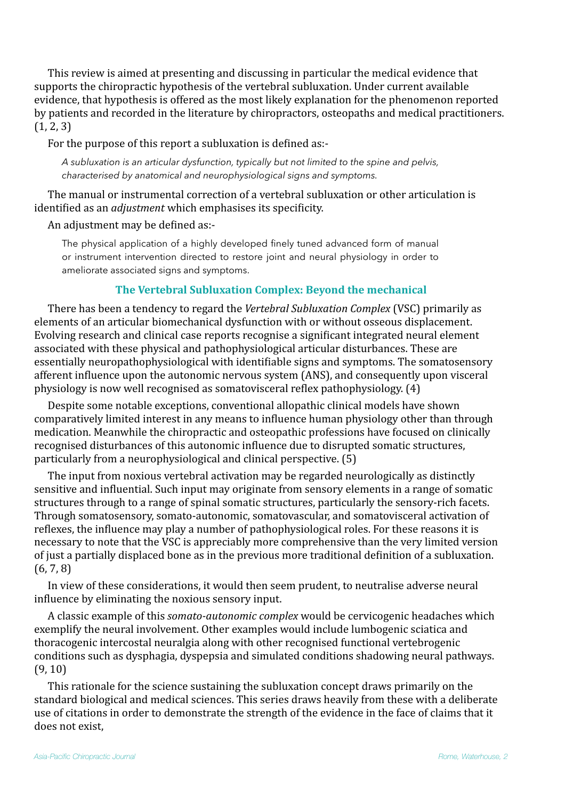This review is aimed at presenting and discussing in particular the medical evidence that supports the chiropractic hypothesis of the vertebral subluxation. Under current available evidence, that hypothesis is offered as the most likely explanation for the phenomenon reported by patients and recorded in the literature by chiropractors, osteopaths and medical practitioners.  $(1, 2, 3)$ 

For the purpose of this report a subluxation is defined as:-

*A subluxation is an articular dysfunction, typically but not limited to the spine and pelvis, characterised by anatomical and neurophysiological signs and symptoms.*

The manual or instrumental correction of a vertebral subluxation or other articulation is identified as an *adjustment* which emphasises its specificity.

## An adjustment may be defined as:-

The physical application of a highly developed finely tuned advanced form of manual or instrument intervention directed to restore joint and neural physiology in order to ameliorate associated signs and symptoms.

# **The Vertebral Subluxation Complex: Beyond the mechanical**

There has been a tendency to regard the *Vertebral Subluxation Complex* (VSC) primarily as elements of an articular biomechanical dysfunction with or without osseous displacement. Evolving research and clinical case reports recognise a significant integrated neural element associated with these physical and pathophysiological articular disturbances. These are essentially neuropathophysiological with identifiable signs and symptoms. The somatosensory afferent influence upon the autonomic nervous system (ANS), and consequently upon visceral physiology is now well recognised as somatovisceral reflex pathophysiology.  $(4)$ 

Despite some notable exceptions, conventional allopathic clinical models have shown comparatively limited interest in any means to influence human physiology other than through medication. Meanwhile the chiropractic and osteopathic professions have focused on clinically recognised disturbances of this autonomic influence due to disrupted somatic structures, particularly from a neurophysiological and clinical perspective. (5)

The input from noxious vertebral activation may be regarded neurologically as distinctly sensitive and influential. Such input may originate from sensory elements in a range of somatic structures through to a range of spinal somatic structures, particularly the sensory-rich facets. Through somatosensory, somato-autonomic, somatovascular, and somatovisceral activation of reflexes, the influence may play a number of pathophysiological roles. For these reasons it is necessary to note that the VSC is appreciably more comprehensive than the very limited version of just a partially displaced bone as in the previous more traditional definition of a subluxation.  $(6, 7, 8)$ 

In view of these considerations, it would then seem prudent, to neutralise adverse neural influence by eliminating the noxious sensory input.

A classic example of this *somato-autonomic complex* would be cervicogenic headaches which exemplify the neural involvement. Other examples would include lumbogenic sciatica and thoracogenic intercostal neuralgia along with other recognised functional vertebrogenic conditions such as dysphagia, dyspepsia and simulated conditions shadowing neural pathways.  $(9, 10)$ 

This rationale for the science sustaining the subluxation concept draws primarily on the standard biological and medical sciences. This series draws heavily from these with a deliberate use of citations in order to demonstrate the strength of the evidence in the face of claims that it does not exist.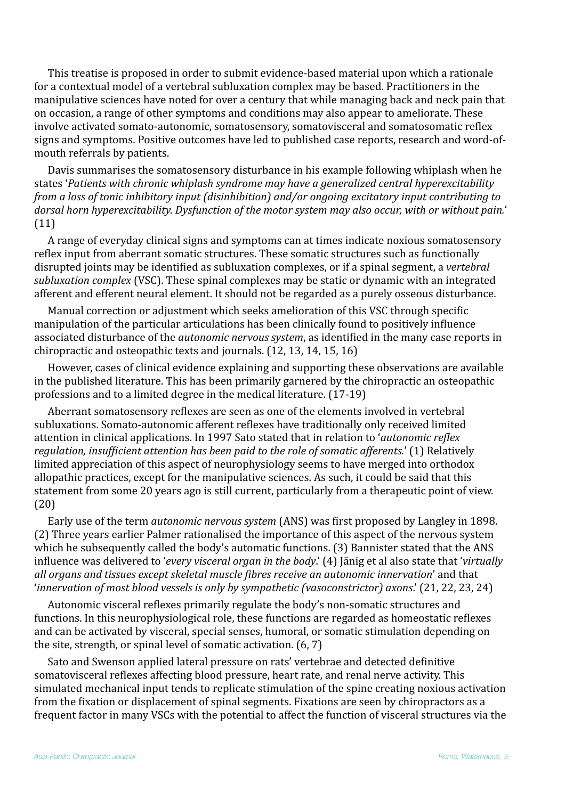This treatise is proposed in order to submit evidence-based material upon which a rationale for a contextual model of a vertebral subluxation complex may be based. Practitioners in the manipulative sciences have noted for over a century that while managing back and neck pain that on occasion, a range of other symptoms and conditions may also appear to ameliorate. These involve activated somato-autonomic, somatosensory, somatovisceral and somatosomatic reflex signs and symptoms. Positive outcomes have led to published case reports, research and word-ofmouth referrals by patients.

Davis summarises the somatosensory disturbance in his example following whiplash when he states 'Patients with chronic whiplash syndrome may have a generalized central hyperexcitability *from a loss of tonic inhibitory input (disinhibition)* and/or ongoing excitatory input contributing to dorsal horn hyperexcitability. Dysfunction of the motor system may also occur, with or without pain.' (11)

A range of everyday clinical signs and symptoms can at times indicate noxious somatosensory reflex input from aberrant somatic structures. These somatic structures such as functionally disrupted joints may be identified as subluxation complexes, or if a spinal segment, a *vertebral subluxation complex* (VSC). These spinal complexes may be static or dynamic with an integrated afferent and efferent neural element. It should not be regarded as a purely osseous disturbance.

Manual correction or adjustment which seeks amelioration of this VSC through specific manipulation of the particular articulations has been clinically found to positively influence associated disturbance of the *autonomic nervous system*, as identified in the many case reports in chiropractic and osteopathic texts and journals.  $(12, 13, 14, 15, 16)$ 

However, cases of clinical evidence explaining and supporting these observations are available in the published literature. This has been primarily garnered by the chiropractic an osteopathic professions and to a limited degree in the medical literature. (17-19)

Aberrant somatosensory reflexes are seen as one of the elements involved in vertebral subluxations. Somato-autonomic afferent reflexes have traditionally only received limited attention in clinical applications. In 1997 Sato stated that in relation to '*autonomic reflex regulation, insufficient attention has been paid to the role of somatic afferents.'* (1) Relatively limited appreciation of this aspect of neurophysiology seems to have merged into orthodox allopathic practices, except for the manipulative sciences. As such, it could be said that this statement from some 20 years ago is still current, particularly from a therapeutic point of view. (20)

Early use of the term *autonomic nervous system* (ANS) was first proposed by Langley in 1898. (2) Three years earlier Palmer rationalised the importance of this aspect of the nervous system which he subsequently called the body's automatic functions. (3) Bannister stated that the ANS influence was delivered to '*every visceral organ in the body*.' (4) Jänig et al also state that '*virtually* all organs and tissues except skeletal muscle fibres receive an autonomic innervation' and that *'innervation of most blood vessels is only by sympathetic (vasoconstrictor) axons.'* (21, 22, 23, 24)

Autonomic visceral reflexes primarily regulate the body's non-somatic structures and functions. In this neurophysiological role, these functions are regarded as homeostatic reflexes and can be activated by visceral, special senses, humoral, or somatic stimulation depending on the site, strength, or spinal level of somatic activation.  $(6, 7)$ 

Sato and Swenson applied lateral pressure on rats' vertebrae and detected definitive somatovisceral reflexes affecting blood pressure, heart rate, and renal nerve activity. This simulated mechanical input tends to replicate stimulation of the spine creating noxious activation from the fixation or displacement of spinal segments. Fixations are seen by chiropractors as a frequent factor in many VSCs with the potential to affect the function of visceral structures via the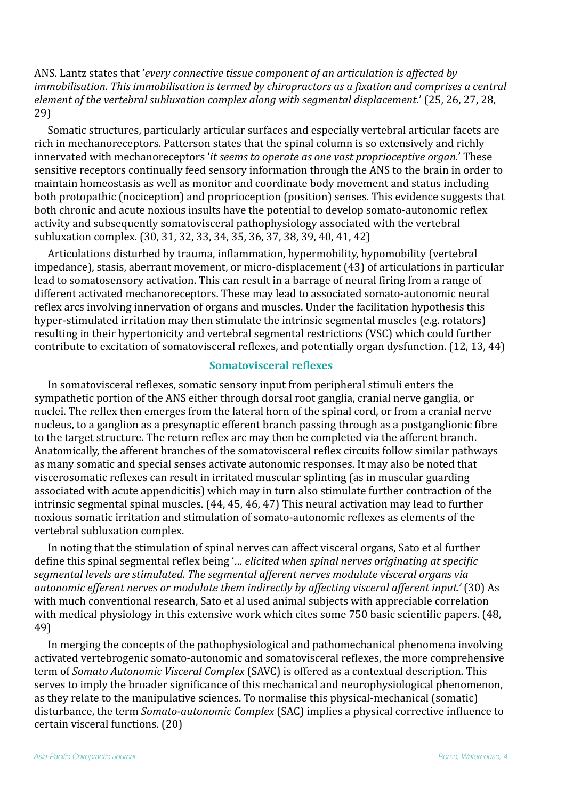ANS. Lantz states that 'every connective tissue component of an articulation is affected by *immobilisation.* This *immobilisation is termed by chiropractors as a fixation and comprises a central element of the vertebral subluxation complex along with segmental displacement.'* (25, 26, 27, 28, 29)

Somatic structures, particularly articular surfaces and especially vertebral articular facets are rich in mechanoreceptors. Patterson states that the spinal column is so extensively and richly innervated with mechanoreceptors *'it seems to operate as one vast proprioceptive organ.'* These sensitive receptors continually feed sensory information through the ANS to the brain in order to maintain homeostasis as well as monitor and coordinate body movement and status including both protopathic (nociception) and proprioception (position) senses. This evidence suggests that both chronic and acute noxious insults have the potential to develop somato-autonomic reflex activity and subsequently somatovisceral pathophysiology associated with the vertebral subluxation complex. (30, 31, 32, 33, 34, 35, 36, 37, 38, 39, 40, 41, 42)

Articulations disturbed by trauma, inflammation, hypermobility, hypomobility (vertebral impedance), stasis, aberrant movement, or micro-displacement (43) of articulations in particular lead to somatosensory activation. This can result in a barrage of neural firing from a range of different activated mechanoreceptors. These may lead to associated somato-autonomic neural reflex arcs involving innervation of organs and muscles. Under the facilitation hypothesis this hyper-stimulated irritation may then stimulate the intrinsic segmental muscles (e.g. rotators) resulting in their hypertonicity and vertebral segmental restrictions (VSC) which could further contribute to excitation of somatovisceral reflexes, and potentially organ dysfunction. (12, 13, 44)

#### **Somatovisceral reflexes**

In somatovisceral reflexes, somatic sensory input from peripheral stimuli enters the sympathetic portion of the ANS either through dorsal root ganglia, cranial nerve ganglia, or nuclei. The reflex then emerges from the lateral horn of the spinal cord, or from a cranial nerve nucleus, to a ganglion as a presynaptic efferent branch passing through as a postganglionic fibre to the target structure. The return reflex arc may then be completed via the afferent branch. Anatomically, the afferent branches of the somatovisceral reflex circuits follow similar pathways as many somatic and special senses activate autonomic responses. It may also be noted that viscerosomatic reflexes can result in irritated muscular splinting (as in muscular guarding associated with acute appendicitis) which may in turn also stimulate further contraction of the intrinsic segmental spinal muscles. (44, 45, 46, 47) This neural activation may lead to further noxious somatic irritation and stimulation of somato-autonomic reflexes as elements of the vertebral subluxation complex.

In noting that the stimulation of spinal nerves can affect visceral organs, Sato et al further define this spinal segmental reflex being '*... elicited when spinal nerves originating at specific* segmental levels are stimulated. The segmental afferent nerves modulate visceral organs via autonomic efferent nerves or modulate them indirectly by affecting visceral afferent input.' (30) As with much conventional research, Sato et al used animal subjects with appreciable correlation with medical physiology in this extensive work which cites some 750 basic scientific papers. (48, 49)

In merging the concepts of the pathophysiological and pathomechanical phenomena involving activated vertebrogenic somato-autonomic and somatovisceral reflexes, the more comprehensive term of *Somato Autonomic Visceral Complex* (SAVC) is offered as a contextual description. This serves to imply the broader significance of this mechanical and neurophysiological phenomenon, as they relate to the manipulative sciences. To normalise this physical-mechanical (somatic) disturbance, the term *Somato-autonomic Complex* (SAC) implies a physical corrective influence to certain visceral functions. (20)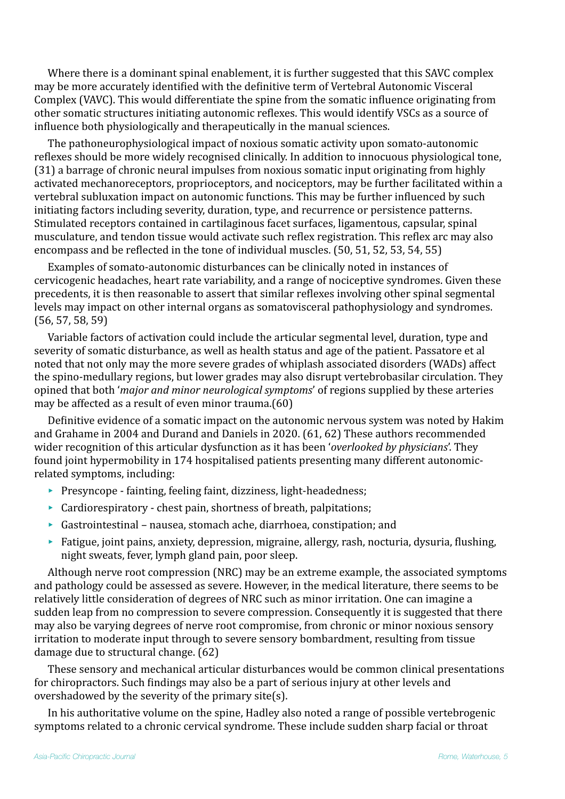Where there is a dominant spinal enablement, it is further suggested that this SAVC complex may be more accurately identified with the definitive term of Vertebral Autonomic Visceral Complex (VAVC). This would differentiate the spine from the somatic influence originating from other somatic structures initiating autonomic reflexes. This would identify VSCs as a source of influence both physiologically and therapeutically in the manual sciences.

The pathoneurophysiological impact of noxious somatic activity upon somato-autonomic reflexes should be more widely recognised clinically. In addition to innocuous physiological tone, (31) a barrage of chronic neural impulses from noxious somatic input originating from highly activated mechanoreceptors, proprioceptors, and nociceptors, may be further facilitated within a vertebral subluxation impact on autonomic functions. This may be further influenced by such initiating factors including severity, duration, type, and recurrence or persistence patterns. Stimulated receptors contained in cartilaginous facet surfaces, ligamentous, capsular, spinal musculature, and tendon tissue would activate such reflex registration. This reflex arc may also encompass and be reflected in the tone of individual muscles.  $(50, 51, 52, 53, 54, 55)$ 

Examples of somato-autonomic disturbances can be clinically noted in instances of cervicogenic headaches, heart rate variability, and a range of nociceptive syndromes. Given these precedents, it is then reasonable to assert that similar reflexes involving other spinal segmental levels may impact on other internal organs as somatovisceral pathophysiology and syndromes.  $(56, 57, 58, 59)$ 

Variable factors of activation could include the articular segmental level, duration, type and severity of somatic disturbance, as well as health status and age of the patient. Passatore et al noted that not only may the more severe grades of whiplash associated disorders (WADs) affect the spino-medullary regions, but lower grades may also disrupt vertebrobasilar circulation. They opined that both *'major and minor neurological symptoms'* of regions supplied by these arteries may be affected as a result of even minor trauma. $(60)$ 

Definitive evidence of a somatic impact on the autonomic nervous system was noted by Hakim and Grahame in 2004 and Durand and Daniels in 2020, (61, 62) These authors recommended wider recognition of this articular dysfunction as it has been '*overlooked by physicians*'. They found joint hypermobility in 174 hospitalised patients presenting many different autonomicrelated symptoms, including:

- $\blacktriangleright$  Presyncope fainting, feeling faint, dizziness, light-headedness;
- $\triangleright$  Cardiorespiratory chest pain, shortness of breath, palpitations;
- $\blacktriangleright$  Gastrointestinal nausea, stomach ache, diarrhoea, constipation; and
- $\blacktriangleright$  Fatigue, joint pains, anxiety, depression, migraine, allergy, rash, nocturia, dysuria, flushing, night sweats, fever, lymph gland pain, poor sleep.

Although nerve root compression (NRC) may be an extreme example, the associated symptoms and pathology could be assessed as severe. However, in the medical literature, there seems to be relatively little consideration of degrees of NRC such as minor irritation. One can imagine a sudden leap from no compression to severe compression. Consequently it is suggested that there may also be varying degrees of nerve root compromise, from chronic or minor noxious sensory irritation to moderate input through to severe sensory bombardment, resulting from tissue damage due to structural change.  $(62)$ 

These sensory and mechanical articular disturbances would be common clinical presentations for chiropractors. Such findings may also be a part of serious injury at other levels and overshadowed by the severity of the primary site(s).

In his authoritative volume on the spine. Hadley also noted a range of possible vertebrogenic symptoms related to a chronic cervical syndrome. These include sudden sharp facial or throat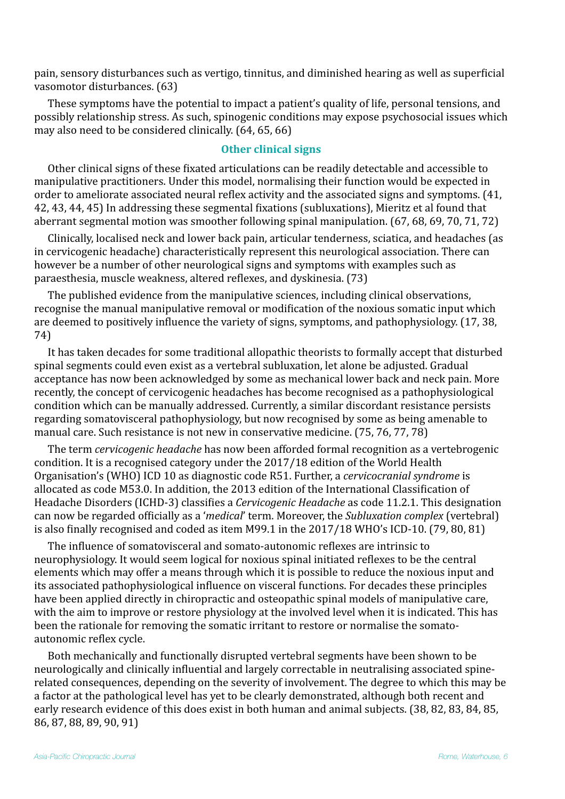pain, sensory disturbances such as vertigo, tinnitus, and diminished hearing as well as superficial vasomotor disturbances. (63)

These symptoms have the potential to impact a patient's quality of life, personal tensions, and possibly relationship stress. As such, spinogenic conditions may expose psychosocial issues which may also need to be considered clinically. (64, 65, 66)

#### **Other clinical signs**

Other clinical signs of these fixated articulations can be readily detectable and accessible to manipulative practitioners. Under this model, normalising their function would be expected in order to ameliorate associated neural reflex activity and the associated signs and symptoms. (41, 42, 43, 44, 45) In addressing these segmental fixations (subluxations), Mieritz et al found that aberrant segmental motion was smoother following spinal manipulation.  $(67, 68, 69, 70, 71, 72)$ 

Clinically, localised neck and lower back pain, articular tenderness, sciatica, and headaches (as in cervicogenic headache) characteristically represent this neurological association. There can however be a number of other neurological signs and symptoms with examples such as paraesthesia, muscle weakness, altered reflexes, and dyskinesia. (73)

The published evidence from the manipulative sciences, including clinical observations, recognise the manual manipulative removal or modification of the noxious somatic input which are deemed to positively influence the variety of signs, symptoms, and pathophysiology. (17, 38, 74)

It has taken decades for some traditional allopathic theorists to formally accept that disturbed spinal segments could even exist as a vertebral subluxation, let alone be adjusted. Gradual acceptance has now been acknowledged by some as mechanical lower back and neck pain. More recently, the concept of cervicogenic headaches has become recognised as a pathophysiological condition which can be manually addressed. Currently, a similar discordant resistance persists regarding somatovisceral pathophysiology, but now recognised by some as being amenable to manual care. Such resistance is not new in conservative medicine. (75, 76, 77, 78)

The term *cervicogenic headache* has now been afforded formal recognition as a vertebrogenic condition. It is a recognised category under the 2017/18 edition of the World Health Organisation's (WHO) ICD 10 as diagnostic code R51. Further, a *cervicocranial syndrome* is allocated as code M53.0. In addition, the 2013 edition of the International Classification of Headache Disorders (ICHD-3) classifies a *Cervicogenic Headache* as code 11.2.1. This designation can now be regarded officially as a '*medical*' term. Moreover, the *Subluxation complex* (vertebral) is also finally recognised and coded as item M99.1 in the  $2017/18$  WHO's ICD-10. (79, 80, 81)

The influence of somatovisceral and somato-autonomic reflexes are intrinsic to neurophysiology. It would seem logical for noxious spinal initiated reflexes to be the central elements which may offer a means through which it is possible to reduce the noxious input and its associated pathophysiological influence on visceral functions. For decades these principles have been applied directly in chiropractic and osteopathic spinal models of manipulative care, with the aim to improve or restore physiology at the involved level when it is indicated. This has been the rationale for removing the somatic irritant to restore or normalise the somatoautonomic reflex cycle.

Both mechanically and functionally disrupted vertebral segments have been shown to be neurologically and clinically influential and largely correctable in neutralising associated spinerelated consequences, depending on the severity of involvement. The degree to which this may be a factor at the pathological level has yet to be clearly demonstrated, although both recent and early research evidence of this does exist in both human and animal subjects. (38, 82, 83, 84, 85, 86, 87, 88, 89, 90, 91)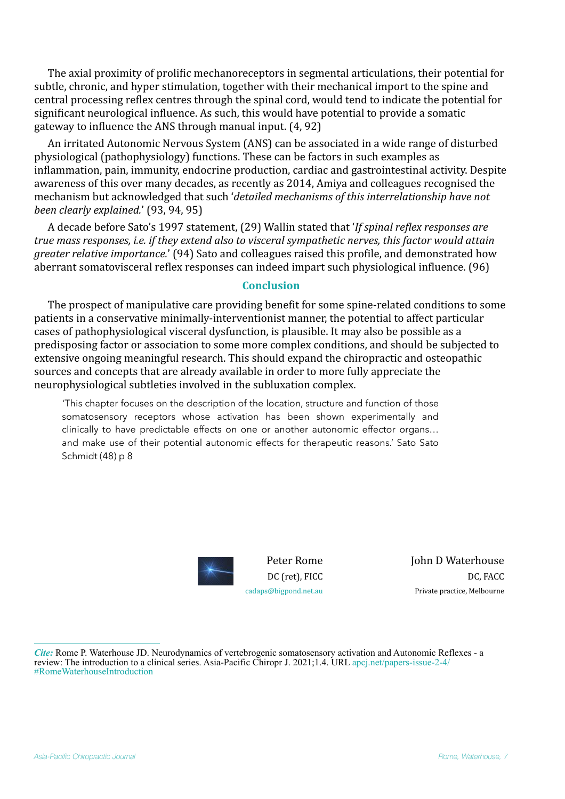The axial proximity of prolific mechanoreceptors in segmental articulations, their potential for subtle, chronic, and hyper stimulation, together with their mechanical import to the spine and central processing reflex centres through the spinal cord, would tend to indicate the potential for significant neurological influence. As such, this would have potential to provide a somatic gateway to influence the ANS through manual input.  $(4, 92)$ 

An irritated Autonomic Nervous System (ANS) can be associated in a wide range of disturbed physiological (pathophysiology) functions. These can be factors in such examples as inflammation, pain, immunity, endocrine production, cardiac and gastrointestinal activity. Despite awareness of this over many decades, as recently as 2014, Amiya and colleagues recognised the mechanism but acknowledged that such 'detailed mechanisms of this interrelationship have not *been clearly explained.'* (93, 94, 95)

A decade before Sato's 1997 statement, (29) Wallin stated that '*If spinal reflex responses are true* mass responses, *i.e. if they extend also to visceral sympathetic nerves, this factor would attain greater relative importance.*' (94) Sato and colleagues raised this profile, and demonstrated how aberrant somatovisceral reflex responses can indeed impart such physiological influence. (96)

#### **Conclusion**

The prospect of manipulative care providing benefit for some spine-related conditions to some patients in a conservative minimally-interventionist manner, the potential to affect particular cases of pathophysiological visceral dysfunction, is plausible. It may also be possible as a predisposing factor or association to some more complex conditions, and should be subjected to extensive ongoing meaningful research. This should expand the chiropractic and osteopathic sources and concepts that are already available in order to more fully appreciate the neurophysiological subtleties involved in the subluxation complex.

'This chapter focuses on the description of the location, structure and function of those somatosensory receptors whose activation has been shown experimentally and clinically to have predictable effects on one or another autonomic effector organs… and make use of their potential autonomic effects for therapeutic reasons.' Sato Sato Schmidt (48) p 8



Peter Rome DC (ret), FICC [cadaps@bigpond.net.au](mailto:cadaps@bigpond.net.au)

**John D Waterhouse** DC, FACC Private practice, Melbourne

*Cite:* Rome P. Waterhouse JD. Neurodynamics of vertebrogenic somatosensory activation and Autonomic Reflexes - a review: The introduction to a clinical series. Asia-Pacific Chiropr J. 2021;1.4. URL [apcj.net/papers-issue-2-4/](http://apcj.net/papers-issue-2-4/#RomeWaterhouseIntroduction) [#RomeWaterhouseIntroduction](http://apcj.net/papers-issue-2-4/#RomeWaterhouseIntroduction)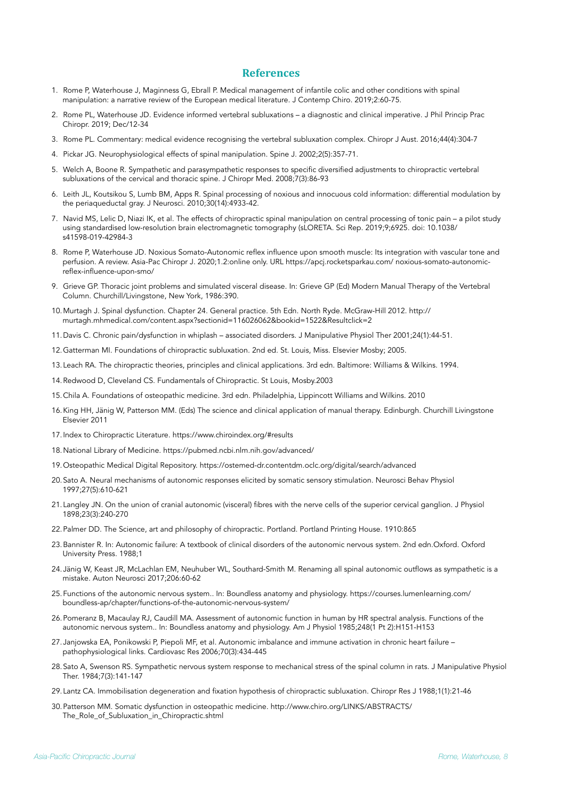#### **References**

- 1. Rome P, Waterhouse J, Maginness G, Ebrall P. Medical management of infantile colic and other conditions with spinal manipulation: a narrative review of the European medical literature. J Contemp Chiro. 2019;2:60-75.
- 2. Rome PL, Waterhouse JD. Evidence informed vertebral subluxations a diagnostic and clinical imperative. J Phil Princip Prac Chiropr. 2019; Dec/12-34
- 3. Rome PL. Commentary: medical evidence recognising the vertebral subluxation complex. Chiropr J Aust. 2016;44(4):304-7
- 4. Pickar JG. Neurophysiological effects of spinal manipulation. Spine J. 2002;2(5):357-71.
- 5. Welch A, Boone R. Sympathetic and parasympathetic responses to specific diversified adjustments to chiropractic vertebral subluxations of the cervical and thoracic spine. J Chiropr Med. 2008;7(3):86-93
- 6. Leith JL, Koutsikou S, Lumb BM, Apps R. Spinal processing of noxious and innocuous cold information: differential modulation by the periaqueductal gray. J Neurosci. 2010;30(14):4933-42.
- 7. Navid MS, Lelic D, Niazi IK, et al. The effects of chiropractic spinal manipulation on central processing of tonic pain a pilot study using standardised low-resolution brain electromagnetic tomography (sLORETA. Sci Rep. 2019;9;6925. doi: [10.1038/](https://dx.doi.org/10.1038/s41598-019-42984-3) [s41598-019-42984-3](https://dx.doi.org/10.1038/s41598-019-42984-3)
- 8. Rome P, Waterhouse JD. Noxious Somato-Autonomic reflex influence upon smooth muscle: Its integration with vascular tone and perfusion. A review. Asia-Pac Chiropr J. 2020;1.2:online only. URL https://apcj.rocketsparkau.com/ noxious-somato-autonomicreflex-influence-upon-smo/
- 9. Grieve GP. Thoracic joint problems and simulated visceral disease. In: Grieve GP (Ed) Modern Manual Therapy of the Vertebral Column. Churchill/Livingstone, New York, 1986:390.
- 10.Murtagh J. Spinal dysfunction. Chapter 24. General practice. 5th Edn. North Ryde. McGraw-Hill 2012. [http://](http://murtagh.mhmedical.com/content.aspx?sectionid=116026062&bookid=1522&Resultclick=2) [murtagh.mhmedical.com/content.aspx?sectionid=116026062&bookid=1522&Resultclick=2](http://murtagh.mhmedical.com/content.aspx?sectionid=116026062&bookid=1522&Resultclick=2)
- 11.Davis C. Chronic pain/dysfunction in whiplash associated disorders. J Manipulative Physiol Ther 2001;24(1):44-51.
- 12.Gatterman MI. Foundations of chiropractic subluxation. 2nd ed. St. Louis, Miss. Elsevier Mosby; 2005.
- 13.Leach RA. The chiropractic theories, principles and clinical applications. 3rd edn. Baltimore: Williams & Wilkins. 1994.
- 14.Redwood D, Cleveland CS. Fundamentals of Chiropractic. St Louis, Mosby.2003
- 15.Chila A. Foundations of osteopathic medicine. 3rd edn. Philadelphia, Lippincott Williams and Wilkins. 2010
- 16.King HH, Jänig W, Patterson MM. (Eds) The science and clinical application of manual therapy. Edinburgh. Churchill Livingstone Elsevier 2011
- 17.Index to Chiropractic Literature. https://www.chiroindex.org/#results
- 18.National Library of Medicine.<https://pubmed.ncbi.nlm.nih.gov/advanced/>
- 19.Osteopathic Medical Digital Repository. https://ostemed-dr.contentdm.oclc.org/digital/search/advanced
- 20.Sato A. Neural mechanisms of autonomic responses elicited by somatic sensory stimulation. Neurosci Behav Physiol 1997;27(5):610-621
- 21.Langley JN. On the union of cranial autonomic (visceral) fibres with the nerve cells of the superior cervical ganglion. J Physiol 1898;23(3):240-270
- 22.Palmer DD. The Science, art and philosophy of chiropractic. Portland. Portland Printing House. 1910:865
- 23.Bannister R. In: Autonomic failure: A textbook of clinical disorders of the autonomic nervous system. 2nd edn.Oxford. Oxford University Press. 1988;1
- 24.Jänig W, Keast JR, McLachlan EM, Neuhuber WL, Southard-Smith M. Renaming all spinal autonomic outflows as sympathetic is a mistake. Auton Neurosci 2017;206:60-62
- 25.Functions of the autonomic nervous system.. In: Boundless anatomy and physiology. https://courses.lumenlearning.com/ boundless-ap/chapter/functions-of-the-autonomic-nervous-system/
- 26.Pomeranz B, Macaulay RJ, Caudill MA. Assessment of autonomic function in human by HR spectral analysis. Functions of the autonomic nervous system.. In: Boundless anatomy and physiology. Am J Physiol 1985;248(1 Pt 2):H151-H153
- 27.Janjowska EA, Ponikowski P, Piepoli MF, et al. Autonomic imbalance and immune activation in chronic heart failure pathophysiological links. Cardiovasc Res 2006;70(3):434-445
- 28.Sato A, Swenson RS. Sympathetic nervous system response to mechanical stress of the spinal column in rats. J Manipulative Physiol Ther. 1984;7(3):141-147
- 29.Lantz CA. Immobilisation degeneration and fixation hypothesis of chiropractic subluxation. Chiropr Res J 1988;1(1):21-46
- 30.Patterson MM. Somatic dysfunction in osteopathic medicine. http://www.chiro.org/LINKS/ABSTRACTS/ The\_Role\_of\_Subluxation\_in\_Chiropractic.shtml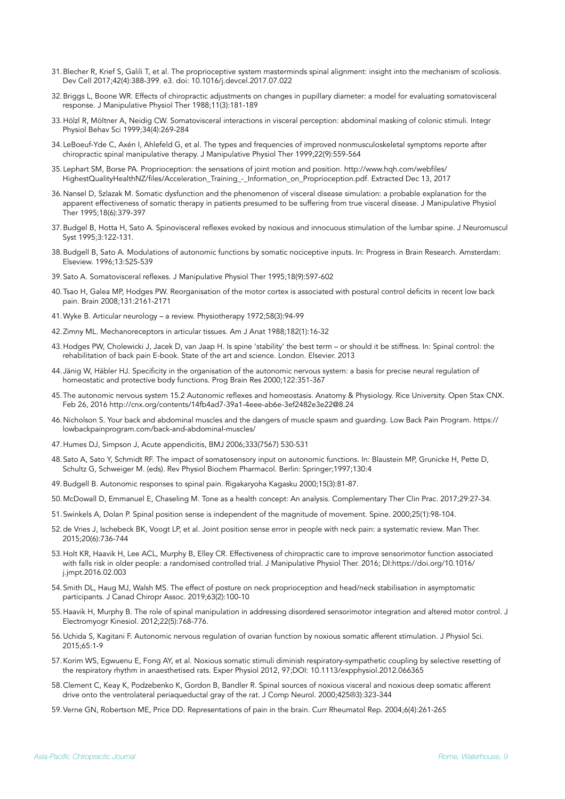- 31.Blecher R, Krief S, Galili T, et al. The proprioceptive system masterminds spinal alignment: insight into the mechanism of scoliosis. Dev Cell 2017;42(4):388-399. e3. doi: 10.1016/j.devcel.2017.07.022
- 32.Briggs L, Boone WR. Effects of chiropractic adjustments on changes in pupillary diameter: a model for evaluating somatovisceral response. J Manipulative Physiol Ther 1988;11(3):181-189
- 33.Hölzl R, Möltner A, Neidig CW. Somatovisceral interactions in visceral perception: abdominal masking of colonic stimuli. Integr Physiol Behav Sci 1999;34(4):269-284
- 34.LeBoeuf-Yde C, Axén I, Ahlefeld G, et al. The types and frequencies of improved nonmusculoskeletal symptoms reporte after chiropractic spinal manipulative therapy. J Manipulative Physiol Ther 1999;22(9):559-564
- 35.[Lephart SM, Borse PA. Proprioception: the sensations of joint motion and position. http://www.hqh.com/webfiles/](http://www.hqh.com/webfiles/HighestQualityHealthNZ/files/Acceleration_Training_-_Information_on_Proprioception.pdf) [HighestQualityHealthNZ/files/Acceleration\\_Training\\_-\\_Information\\_on\\_Proprioception.pdf.](http://www.hqh.com/webfiles/HighestQualityHealthNZ/files/Acceleration_Training_-_Information_on_Proprioception.pdf) Extracted Dec 13, 2017
- 36.Nansel D, Szlazak M. Somatic dysfunction and the phenomenon of visceral disease simulation: a probable explanation for the apparent effectiveness of somatic therapy in patients presumed to be suffering from true visceral disease. J Manipulative Physiol Ther 1995;18(6):379-397
- 37.Budgel B, Hotta H, Sato A. Spinovisceral reflexes evoked by noxious and innocuous stimulation of the lumbar spine. J Neuromuscul Syst 1995;3:122-131.
- 38.Budgell B, Sato A. Modulations of autonomic functions by somatic nociceptive inputs. In: Progress in Brain Research. Amsterdam: Elseview. 1996;13:525-539
- 39.Sato A. Somatovisceral reflexes. J Manipulative Physiol Ther 1995;18(9):597-602
- 40.Tsao H, Galea MP, Hodges PW. Reorganisation of the motor cortex is associated with postural control deficits in recent low back pain. Brain 2008;131:2161-2171
- 41.Wyke B. Articular neurology a review. Physiotherapy 1972;58(3):94-99
- 42.Zimny ML. Mechanoreceptors in articular tissues. Am J Anat 1988;182(1):16-32
- 43.Hodges PW, Cholewicki J, Jacek D, van Jaap H. Is spine 'stability' the best term or should it be stiffness. In: Spinal control: the rehabilitation of back pain E-book. State of the art and science. London. Elsevier. 2013
- 44.[Jänig W,](https://www.ncbi.nlm.nih.gov/pubmed/?term=J%25C3%25A4nig%2520W%255BAuthor%255D&cauthor=true&cauthor_uid=10737070) [Häbler HJ.](https://www.ncbi.nlm.nih.gov/pubmed/?term=H%25C3%25A4bler%2520HJ%255BAuthor%255D&cauthor=true&cauthor_uid=10737070) Specificity in the organisation of the autonomic nervous system: a basis for precise neural regulation of homeostatic and protective body functions. Prog Brain Res 2000;122:351-367
- 45.The autonomic nervous system 15.2 Autonomic reflexes and homeostasis. Anatomy & Physiology. Rice University. Open Stax CNX. Feb 26, 2016<http://cnx.org/contents/14fb4ad7-39a1-4eee-ab6e-3ef2482e3e22@8.24>
- 46.Nicholson S. Your back and abdominal muscles and the dangers of muscle spasm and guarding. Low Back Pain Program. https:// lowbackpainprogram.com/back-and-abdominal-muscles/
- 47.Humes DJ, Simpson J, Acute appendicitis, BMJ 2006;333(7567) 530-531
- 48.Sato A, Sato Y, Schmidt RF. The impact of somatosensory input on autonomic functions. In: Blaustein MP, Grunicke H, Pette D, Schultz G, Schweiger M. (eds). Rev Physiol Biochem Pharmacol. Berlin: Springer;1997;130:4
- 49.Budgell B. Autonomic responses to spinal pain. Rigakaryoha Kagasku 2000;15(3):81-87.
- 50.McDowall D, Emmanuel E, Chaseling M. Tone as a health concept: An analysis. Complementary Ther Clin Prac. 2017;29:27-34.
- 51.Swinkels A, Dolan P. Spinal position sense is independent of the magnitude of movement. Spine. 2000;25(1):98-104.
- 52.de Vries J, Ischebeck BK, Voogt LP, et al. Joint position sense error in people with neck pain: a systematic review. Man Ther. 2015;20(6):736-744
- 53.Holt KR, Haavik H, Lee ACL, Murphy B, Elley CR. Effectiveness of chiropractic care to improve sensorimotor function associated with falls risk in older people: a randomised controlled trial. J Manipulative Physiol Ther. 2016; DI[:https://doi.org/10.1016/](https://doi.org/10.1016/j.jmpt.2016.02.003) [j.jmpt.2016.02.003](https://doi.org/10.1016/j.jmpt.2016.02.003)
- 54.Smith DL, Haug MJ, Walsh MS. The effect of posture on neck proprioception and head/neck stabilisation in asymptomatic participants. J Canad Chiropr Assoc. 2019;63(2):100-10
- 55.Haavik H, Murphy B. The role of spinal manipulation in addressing disordered sensorimotor integration and altered motor control. J Electromyogr Kinesiol. 2012;22(5):768-776.
- 56.Uchida S, Kagitani F. Autonomic nervous regulation of ovarian function by noxious somatic afferent stimulation. J Physiol Sci. 2015;65:1-9
- 57.Korim WS, Egwuenu E, Fong AY, et al. Noxious somatic stimuli diminish respiratory-sympathetic coupling by selective resetting of the respiratory rhythm in anaesthetised rats. Exper Physiol 2012, 97;DOI: 10.1113/expphysiol.2012.066365
- 58.Clement C, Keay K, Podzebenko K, Gordon B, Bandler R. Spinal sources of noxious visceral and noxious deep somatic afferent drive onto the ventrolateral periaqueductal gray of the rat. J Comp Neurol. 2000;425☹3):323-344
- 59.Verne GN, Robertson ME, Price DD. Representations of pain in the brain. Curr Rheumatol Rep. 2004;6(4):261-265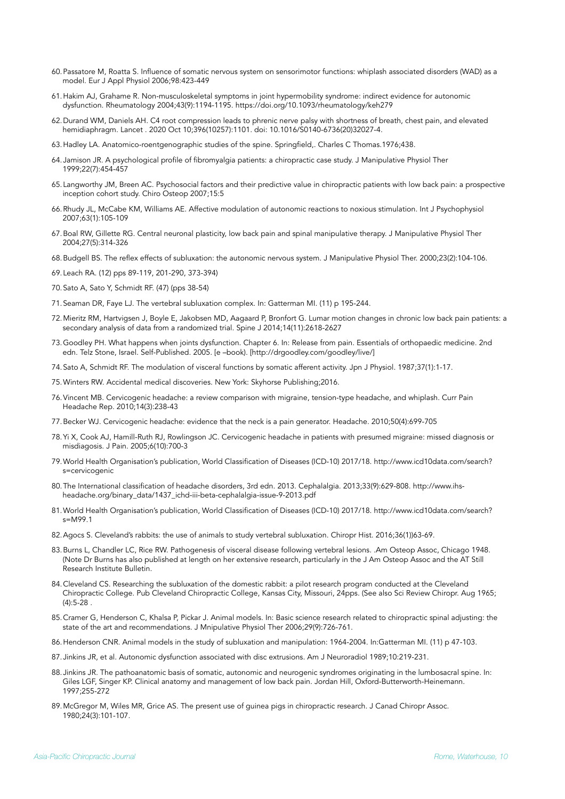- 60.Passatore M, Roatta S. Influence of somatic nervous system on sensorimotor functions: whiplash associated disorders (WAD) as a model. Eur J Appl Physiol 2006;98:423-449
- 61.Hakim AJ, Grahame R. Non-musculoskeletal symptoms in joint hypermobility syndrome: indirect evidence for autonomic dysfunction. Rheumatology 2004;43(9):1194-1195.<https://doi.org/10.1093/rheumatology/keh279>
- 62.Durand WM, Daniels AH. C4 root compression leads to phrenic nerve palsy with shortness of breath, chest pain, and elevated hemidiaphragm. Lancet . 2020 Oct 10;396(10257):1101. doi: 10.1016/S0140-6736(20)32027-4.
- 63.Hadley LA. Anatomico-roentgenographic studies of the spine. Springfield,. Charles C Thomas.1976;438.
- 64.Jamison JR. A psychological profile of fibromyalgia patients: a chiropractic case study. J Manipulative Physiol Ther 1999;22(7):454-457
- 65.Langworthy JM, Breen AC. Psychosocial factors and their predictive value in chiropractic patients with low back pain: a prospective inception cohort study. Chiro Osteop 2007;15:5
- 66.Rhudy JL, McCabe KM, Williams AE. Affective modulation of autonomic reactions to noxious stimulation. Int J Psychophysiol 2007;63(1):105-109
- 67.Boal RW, Gillette RG. Central neuronal plasticity, low back pain and spinal manipulative therapy. J Manipulative Physiol Ther 2004;27(5):314-326
- 68.Budgell BS. The reflex effects of subluxation: the autonomic nervous system. J Manipulative Physiol Ther. 2000;23(2):104-106.
- 69.Leach RA. (12) pps 89-119, 201-290, 373-394)
- 70.Sato A, Sato Y, Schmidt RF. (47) (pps 38-54)
- 71.Seaman DR, Faye LJ. The vertebral subluxation complex. In: Gatterman MI. (11) p 195-244.
- 72.Mieritz RM, Hartvigsen J, Boyle E, Jakobsen MD, Aagaard P, Bronfort G. Lumar motion changes in chronic low back pain patients: a secondary analysis of data from a randomized trial. Spine J 2014;14(11):2618-2627
- 73.Goodley PH. What happens when joints dysfunction. Chapter 6. In: Release from pain. Essentials of orthopaedic medicine. 2nd edn. Telz Stone, Israel. Self-Published. 2005. [e –book). [http://drgoodley.com/goodley/live/]
- 74.Sato A, Schmidt RF. The modulation of visceral functions by somatic afferent activity. Jpn J Physiol. 1987;37(1):1-17.
- 75.Winters RW. Accidental medical discoveries. New York: Skyhorse Publishing;2016.
- 76.Vincent MB. Cervicogenic headache: a review comparison with migraine, tension-type headache, and whiplash. Curr Pain Headache Rep. 2010;14(3):238-43
- 77.Becker WJ. Cervicogenic headache: evidence that the neck is a pain generator. Headache. 2010;50(4):699-705
- 78.Yi X, Cook AJ, Hamill-Ruth RJ, Rowlingson JC. Cervicogenic headache in patients with presumed migraine: missed diagnosis or misdiagosis. J Pain. 2005;6(10):700-3
- 79.World Health Organisation's publication, World Classification of Diseases (ICD-10) 2017/18. [http://www.icd10data.com/search?](http://www.icd10data.com/search?s=cervicogenic) [s=cervicogenic](http://www.icd10data.com/search?s=cervicogenic)
- 80.The International classification of headache disorders, 3rd edn. 2013. Cephalalgia. 2013;33(9):629-808. [http://www.ihs](http://www.ihs-headache.org/binary_data/1437_ichd-iii-beta-cephalalgia-issue-9-2013.pdf)[headache.org/binary\\_data/1437\\_ichd-iii-beta-cephalalgia-issue-9-2013.pdf](http://www.ihs-headache.org/binary_data/1437_ichd-iii-beta-cephalalgia-issue-9-2013.pdf)
- 81.World Health Organisation's publication, World Classification of Diseases (ICD-10) 2017/18. http://www.icd10data.com/search? s=M99.1
- 82.Agocs S. Cleveland's rabbits: the use of animals to study vertebral subluxation. Chiropr Hist. 2016;36(1))63-69.
- 83.Burns L, Chandler LC, Rice RW. Pathogenesis of visceral disease following vertebral lesions. .Am Osteop Assoc, Chicago 1948. (Note Dr Burns has also published at length on her extensive research, particularly in the J Am Osteop Assoc and the AT Still Research Institute Bulletin.
- 84.Cleveland CS. Researching the subluxation of the domestic rabbit: a pilot research program conducted at the Cleveland Chiropractic College. Pub Cleveland Chiropractic College, Kansas City, Missouri, 24pps. (See also Sci Review Chiropr. Aug 1965; (4):5-28 .
- 85.Cramer G, Henderson C, Khalsa P, Pickar J. Animal models. In: Basic science research related to chiropractic spinal adjusting: the state of the art and recommendations. J Mnipulative Physiol Ther 2006;29(9):726-761.
- 86.Henderson CNR. Animal models in the study of subluxation and manipulation: 1964-2004. In:Gatterman MI. (11) p 47-103.
- 87.Jinkins JR, et al. Autonomic dysfunction associated with disc extrusions. Am J Neuroradiol 1989;10:219-231.
- 88.Jinkins JR. The pathoanatomic basis of somatic, autonomic and neurogenic syndromes originating in the lumbosacral spine. In: Giles LGF, Singer KP. Clinical anatomy and management of low back pain. Jordan Hill, Oxford-Butterworth-Heinemann. 1997;255-272
- 89.McGregor M, Wiles MR, Grice AS. The present use of guinea pigs in chiropractic research. J Canad Chiropr Assoc. 1980;24(3):101-107.